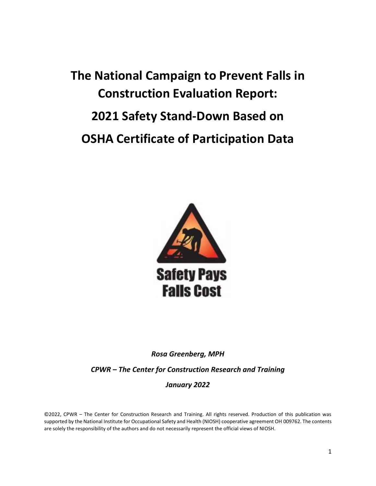# **The National Campaign to Prevent Falls in Construction Evaluation Report: 2021 Safety Stand-Down Based on OSHA Certificate of Participation Data**



*Rosa Greenberg, MPH*

*CPWR – The Center for Construction Research and Training*

## *January 2022*

©2022, CPWR – The Center for Construction Research and Training. All rights reserved. Production of this publication was supported by the National Institute for Occupational Safety and Health (NIOSH) cooperative agreement OH 009762. The contents are solely the responsibility of the authors and do not necessarily represent the official views of NIOSH.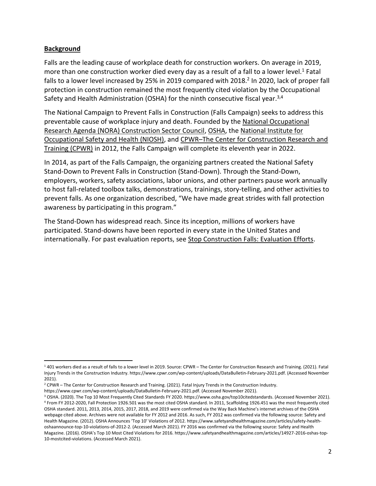#### **Background**

Falls are the leading cause of workplace death for construction workers. On average in 2019, more than one construction worker died every day as a result of a fall to a lower level.<sup>1</sup> Fatal falls to a lower level increased by 25% in 2019 compared with 2018.<sup>2</sup> In 2020, lack of proper fall protection in construction remained the most frequently cited violation by the Occupational Safety and Health Administration (OSHA) for the ninth consecutive fiscal year.3,4

The National Campaign to Prevent Falls in Construction (Falls Campaign) seeks to address this preventable cause of workplace injury and death. Founded by the [National Occupational](https://www.cdc.gov/nora/councils/const/default.html)  [Research Agenda \(NORA\) Construction Sector Council,](https://www.cdc.gov/nora/councils/const/default.html) [OSHA,](https://www.osha.gov/) the [National Institute for](https://www.cdc.gov/niosh/index.htm)  [Occupational Safety and Health \(NIOSH\),](https://www.cdc.gov/niosh/index.htm) and CPWR–[The Center for Construction Research and](https://www.cpwr.com/)  [Training \(CPWR\)](https://www.cpwr.com/) in 2012, the Falls Campaign will complete its eleventh year in 2022.

In 2014, as part of the Falls Campaign, the organizing partners created the National Safety Stand-Down to Prevent Falls in Construction (Stand-Down). Through the Stand-Down, employers, workers, safety associations, labor unions, and other partners pause work annually to host fall-related toolbox talks, demonstrations, trainings, story-telling, and other activities to prevent falls. As one organization described, "We have made great strides with fall protection awareness by participating in this program."

The Stand-Down has widespread reach. Since its inception, millions of workers have participated. Stand-downs have been reported in every state in the United States and internationally. For past evaluation reports, see [Stop Construction Falls: Evaluation Efforts.](https://stopconstructionfalls.com/about-the-campaign/evaluation-efforts/)

<sup>1</sup> 401 workers died as a result of falls to a lower level in 2019. Source: CPWR – The Center for Construction Research and Training. (2021). Fatal Injury Trends in the Construction Industry. https://www.cpwr.com/wp-content/uploads/DataBulletin-February-2021.pdf. (Accessed November 2021).

<sup>&</sup>lt;sup>2</sup> CPWR – The Center for Construction Research and Training. (2021). Fatal Injury Trends in the Construction Industry.

https://www.cpwr.com/wp-content/uploads/DataBulletin-February-2021.pdf. (Accessed November 2021).

<sup>&</sup>lt;sup>3</sup> OSHA. (2020). The Top 10 Most Frequently Cited Standards FY 2020. https://www.osha.gov/top10citedstandards. (Accessed November 2021). <sup>4</sup> From FY 2012-2020, Fall Protection 1926.501 was the most cited OSHA standard. In 2011, Scaffolding 1926.451 was the most frequently cited OSHA standard. 2011, 2013, 2014, 2015, 2017, 2018, and 2019 were confirmed via the Way Back Machine's internet archives of the OSHA webpage cited above. Archives were not available for FY 2012 and 2016. As such, FY 2012 was confirmed via the following source: Safety and Health Magazine. (2012). OSHA Announces 'Top 10' Violations of 2012. https://www.safetyandhealthmagazine.com/articles/safety-healthoshaannounce-top-10-violations-of-2012-2. (Accessed March 2021). FY 2016 was confirmed via the following source: Safety and Health Magazine. (2016). OSHA's Top 10 Most Cited Violations for 2016. https://www.safetyandhealthmagazine.com/articles/14927-2016-oshas-top-10-mostcited-violations. (Accessed March 2021).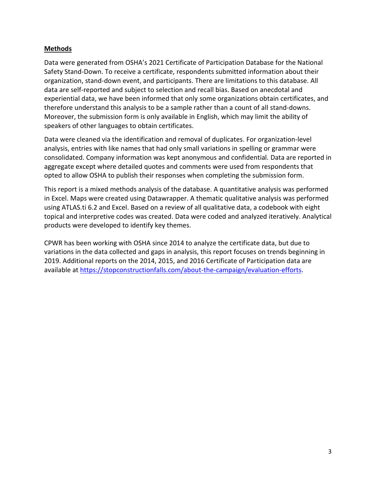#### **Methods**

Data were generated from OSHA's 2021 Certificate of Participation Database for the National Safety Stand-Down. To receive a certificate, respondents submitted information about their organization, stand-down event, and participants. There are limitations to this database. All data are self-reported and subject to selection and recall bias. Based on anecdotal and experiential data, we have been informed that only some organizations obtain certificates, and therefore understand this analysis to be a sample rather than a count of all stand-downs. Moreover, the submission form is only available in English, which may limit the ability of speakers of other languages to obtain certificates.

Data were cleaned via the identification and removal of duplicates. For organization-level analysis, entries with like names that had only small variations in spelling or grammar were consolidated. Company information was kept anonymous and confidential. Data are reported in aggregate except where detailed quotes and comments were used from respondents that opted to allow OSHA to publish their responses when completing the submission form.

This report is a mixed methods analysis of the database. A quantitative analysis was performed in Excel. Maps were created using Datawrapper. A thematic qualitative analysis was performed using ATLAS.ti 6.2 and Excel. Based on a review of all qualitative data, a codebook with eight topical and interpretive codes was created. Data were coded and analyzed iteratively. Analytical products were developed to identify key themes.

CPWR has been working with OSHA since 2014 to analyze the certificate data, but due to variations in the data collected and gaps in analysis, this report focuses on trends beginning in 2019. Additional reports on the 2014, 2015, and 2016 Certificate of Participation data are available at [https://stopconstructionfalls.com/about-the-campaign/evaluation-efforts.](https://stopconstructionfalls.com/about-the-campaign/evaluation-efforts)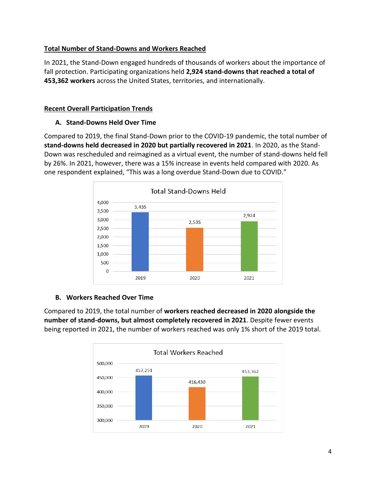## **Total Number of Stand-Downs and Workers Reached**

In 2021, the Stand-Down engaged hundreds of thousands of workers about the importance of fall protection. Participating organizations held **2,924 stand-downs that reached a total of 453,362 workers** across the United States, territories, and internationally.

#### **Recent Overall Participation Trends**

#### **A. Stand-Downs Held Over Time**

Compared to 2019, the final Stand-Down prior to the COVID-19 pandemic, the total number of **stand-downs held decreased in 2020 but partially recovered in 2021**. In 2020, as the Stand-Down was rescheduled and reimagined as a virtual event, the number of stand-downs held fell by 26%. In 2021, however, there was a 15% increase in events held compared with 2020. As one respondent explained, "This was a long overdue Stand-Down due to COVID."



## **B. Workers Reached Over Time**

Compared to 2019, the total number of **workers reached decreased in 2020 alongside the number of stand-downs, but almost completely recovered in 2021**. Despite fewer events being reported in 2021, the number of workers reached was only 1% short of the 2019 total.

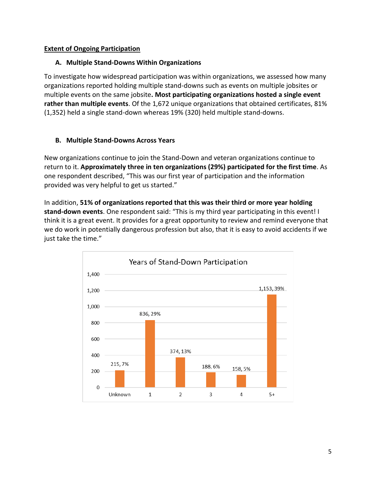#### **Extent of Ongoing Participation**

#### **A. Multiple Stand-Downs Within Organizations**

To investigate how widespread participation was within organizations, we assessed how many organizations reported holding multiple stand-downs such as events on multiple jobsites or multiple events on the same jobsite**. Most participating organizations hosted a single event rather than multiple events**. Of the 1,672 unique organizations that obtained certificates, 81% (1,352) held a single stand-down whereas 19% (320) held multiple stand-downs.

#### **B. Multiple Stand-Downs Across Years**

New organizations continue to join the Stand-Down and veteran organizations continue to return to it. **Approximately three in ten organizations (29%) participated for the first time**. As one respondent described, "This was our first year of participation and the information provided was very helpful to get us started."

In addition, **51% of organizations reported that this was their third or more year holding stand-down events**. One respondent said: "This is my third year participating in this event! I think it is a great event. It provides for a great opportunity to review and remind everyone that we do work in potentially dangerous profession but also, that it is easy to avoid accidents if we just take the time."

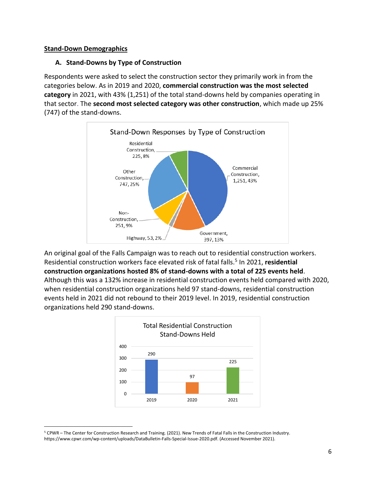#### **Stand-Down Demographics**

#### **A. Stand-Downs by Type of Construction**

Respondents were asked to select the construction sector they primarily work in from the categories below. As in 2019 and 2020, **commercial construction was the most selected category** in 2021, with 43% (1,251) of the total stand-downs held by companies operating in that sector. The **second most selected category was other construction**, which made up 25% (747) of the stand-downs.



An original goal of the Falls Campaign was to reach out to residential construction workers. Residential construction workers face elevated risk of fatal falls.<sup>5</sup> In 2021, residential **construction organizations hosted 8% of stand-downs with a total of 225 events held**. Although this was a 132% increase in residential construction events held compared with 2020, when residential construction organizations held 97 stand-downs, residential construction events held in 2021 did not rebound to their 2019 level. In 2019, residential construction organizations held 290 stand-downs.



<sup>5</sup> CPWR – The Center for Construction Research and Training. (2021). New Trends of Fatal Falls in the Construction Industry. https://www.cpwr.com/wp-content/uploads/DataBulletin-Falls-Special-Issue-2020.pdf. (Accessed November 2021).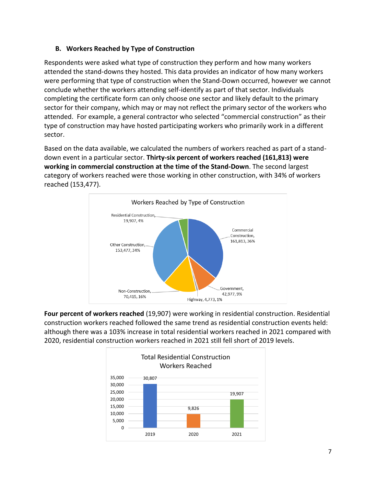## **B. Workers Reached by Type of Construction**

Respondents were asked what type of construction they perform and how many workers attended the stand-downs they hosted. This data provides an indicator of how many workers were performing that type of construction when the Stand-Down occurred, however we cannot conclude whether the workers attending self-identify as part of that sector. Individuals completing the certificate form can only choose one sector and likely default to the primary sector for their company, which may or may not reflect the primary sector of the workers who attended. For example, a general contractor who selected "commercial construction" as their type of construction may have hosted participating workers who primarily work in a different sector.

Based on the data available, we calculated the numbers of workers reached as part of a standdown event in a particular sector. **Thirty-six percent of workers reached (161,813) were working in commercial construction at the time of the Stand-Down**. The second largest category of workers reached were those working in other construction, with 34% of workers reached (153,477).



**Four percent of workers reached** (19,907) were working in residential construction. Residential construction workers reached followed the same trend as residential construction events held: although there was a 103% increase in total residential workers reached in 2021 compared with 2020, residential construction workers reached in 2021 still fell short of 2019 levels.

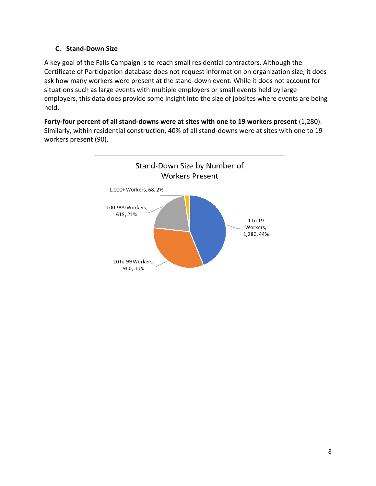## **C. Stand-Down Size**

A key goal of the Falls Campaign is to reach small residential contractors. Although the Certificate of Participation database does not request information on organization size, it does ask how many workers were present at the stand-down event. While it does not account for situations such as large events with multiple employers or small events held by large employers, this data does provide some insight into the size of jobsites where events are being held.

**Forty-four percent of all stand-downs were at sites with one to 19 workers present** (1,280). Similarly, within residential construction, 40% of all stand-downs were at sites with one to 19 workers present (90).

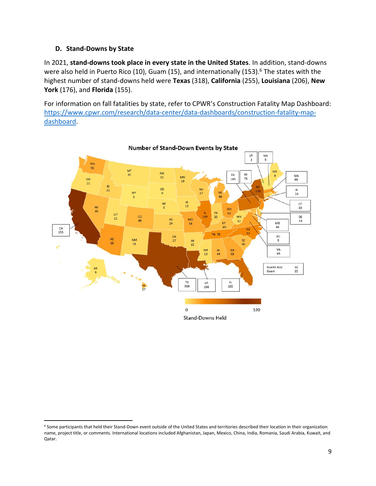#### **D. Stand-Downs by State**

In 2021, **stand-downs took place in every state in the United States**. In addition, stand-downs were also held in Puerto Rico (10), Guam (15), and internationally (153). $6$  The states with the highest number of stand-downs held were **Texas** (318), **California** (255), **Louisiana** (206), **New York** (176), and **Florida** (155).

For information on fall fatalities by state, refer to CPWR's Construction Fatality Map Dashboard: [https://www.cpwr.com/research/data-center/data-dashboards/construction-fatality-map](https://www.cpwr.com/research/data-center/data-dashboards/construction-fatality-map-dashboard)[dashboard.](https://www.cpwr.com/research/data-center/data-dashboards/construction-fatality-map-dashboard)



<sup>6</sup> Some participants that held their Stand-Down event outside of the United States and territories described their location in their organization name, project title, or comments. International locations included Afghanistan, Japan, Mexico, China, India, Romania, Saudi Arabia, Kuwait, and Qatar.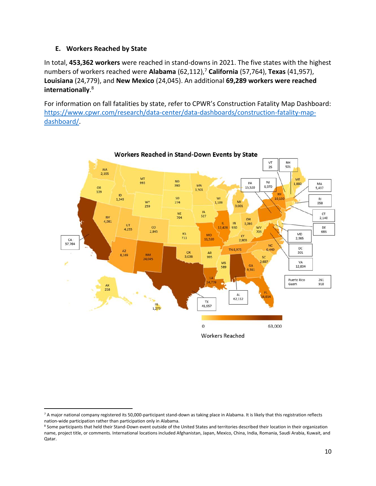#### **E. Workers Reached by State**

In total, **453,362 workers** were reached in stand-downs in 2021. The five states with the highest numbers of workers reached were Alabama (62,112),<sup>7</sup> California (57,764), Texas (41,957), **Louisiana** (24,779), and **New Mexico** (24,045). An additional **69,289 workers were reached internationally**. 8

For information on fall fatalities by state, refer to CPWR's Construction Fatality Map Dashboard: [https://www.cpwr.com/research/data-center/data-dashboards/construction-fatality-map](https://www.cpwr.com/research/data-center/data-dashboards/construction-fatality-map-dashboard/)[dashboard/.](https://www.cpwr.com/research/data-center/data-dashboards/construction-fatality-map-dashboard/)



<sup>&</sup>lt;sup>7</sup> A major national company registered its 50,000-participant stand-down as taking place in Alabama. It is likely that this registration reflects nation-wide participation rather than participation only in Alabama.

<sup>8</sup> Some participants that held their Stand-Down event outside of the United States and territories described their location in their organization name, project title, or comments. International locations included Afghanistan, Japan, Mexico, China, India, Romania, Saudi Arabia, Kuwait, and Qatar.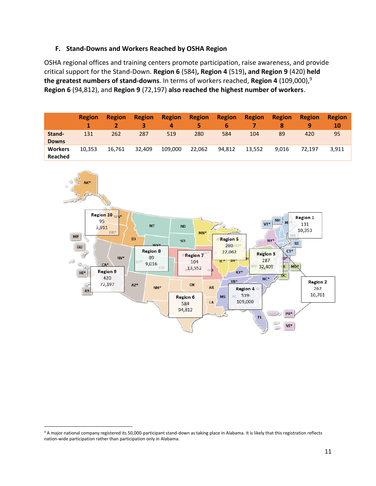#### **F. Stand-Downs and Workers Reached by OSHA Region**

OSHA regional offices and training centers promote participation, raise awareness, and provide critical support for the Stand-Down. **Region 6** (584)**, Region 4** (519)**, and Region 9** (420) **held the greatest numbers of stand-downs**. In terms of workers reached, **Region 4** (109,000),<sup>9</sup> **Region 6** (94,812), and **Region 9** (72,197) **also reached the highest number of workers**.

|                           | <b>Region</b> | <b>Region</b> | <b>Region</b><br>3 | <b>Region</b><br>4 | <b>Region</b><br>5. | <b>Region</b><br>6 | <b>Region</b> | <b>Region</b><br>8 | <b>Region</b><br>9 | <b>Region</b><br>10 |
|---------------------------|---------------|---------------|--------------------|--------------------|---------------------|--------------------|---------------|--------------------|--------------------|---------------------|
| Stand-<br><b>Downs</b>    | 131           | 262           | 287                | 519                | 280                 | 584                | 104           | 89                 | 420                | 95                  |
| <b>Workers</b><br>Reached | 10.353        | 16.761        | 32.409             | 109.000            | 22,062              | 94.812             | 13.552        | 9.016              | 72.197             | 3,911               |



<sup>9</sup> A major national company registered its 50,000-participant stand-down as taking place in Alabama. It is likely that this registration reflects nation-wide participation rather than participation only in Alabama.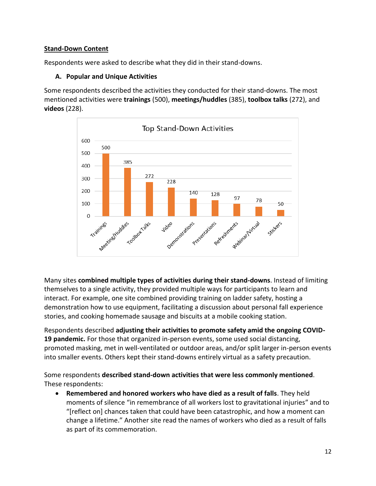#### **Stand-Down Content**

Respondents were asked to describe what they did in their stand-downs.

#### **A. Popular and Unique Activities**

Some respondents described the activities they conducted for their stand-downs. The most mentioned activities were **trainings** (500), **meetings/huddles** (385), **toolbox talks** (272), and **videos** (228).



Many sites **combined multiple types of activities during their stand-downs**. Instead of limiting themselves to a single activity, they provided multiple ways for participants to learn and interact. For example, one site combined providing training on ladder safety, hosting a demonstration how to use equipment, facilitating a discussion about personal fall experience stories, and cooking homemade sausage and biscuits at a mobile cooking station.

Respondents described **adjusting their activities to promote safety amid the ongoing COVID-19 pandemic.** For those that organized in-person events, some used social distancing, promoted masking, met in well-ventilated or outdoor areas, and/or split larger in-person events into smaller events. Others kept their stand-downs entirely virtual as a safety precaution.

Some respondents **described stand-down activities that were less commonly mentioned**. These respondents:

• **Remembered and honored workers who have died as a result of falls**. They held moments of silence "in remembrance of all workers lost to gravitational injuries" and to "[reflect on] chances taken that could have been catastrophic, and how a moment can change a lifetime." Another site read the names of workers who died as a result of falls as part of its commemoration.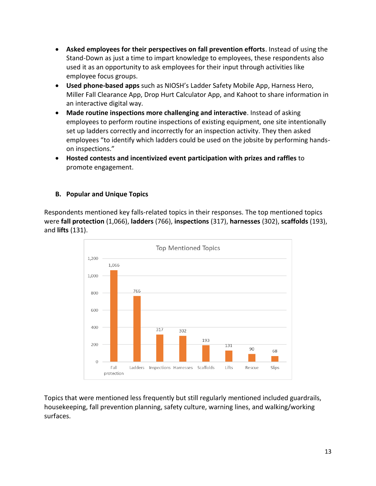- **Asked employees for their perspectives on fall prevention efforts**. Instead of using the Stand-Down as just a time to impart knowledge to employees, these respondents also used it as an opportunity to ask employees for their input through activities like employee focus groups.
- **Used phone-based apps** such as NIOSH's Ladder Safety Mobile App, Harness Hero, Miller Fall Clearance App, Drop Hurt Calculator App, and Kahoot to share information in an interactive digital way.
- **Made routine inspections more challenging and interactive**. Instead of asking employees to perform routine inspections of existing equipment, one site intentionally set up ladders correctly and incorrectly for an inspection activity. They then asked employees "to identify which ladders could be used on the jobsite by performing handson inspections."
- **Hosted contests and incentivized event participation with prizes and raffles** to promote engagement.

## **B. Popular and Unique Topics**

Respondents mentioned key falls-related topics in their responses. The top mentioned topics were **fall protection** (1,066), **ladders** (766), **inspections** (317), **harnesses** (302), **scaffolds** (193), and **lifts** (131).



Topics that were mentioned less frequently but still regularly mentioned included guardrails, housekeeping, fall prevention planning, safety culture, warning lines, and walking/working surfaces.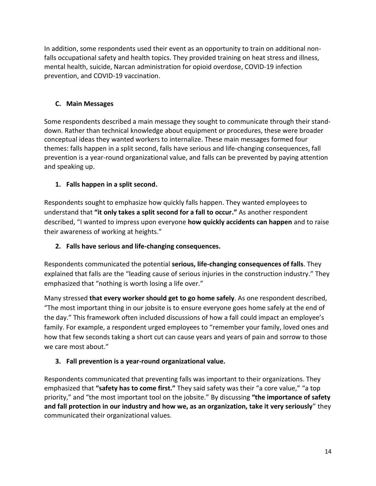In addition, some respondents used their event as an opportunity to train on additional nonfalls occupational safety and health topics. They provided training on heat stress and illness, mental health, suicide, Narcan administration for opioid overdose, COVID-19 infection prevention, and COVID-19 vaccination.

## **C. Main Messages**

Some respondents described a main message they sought to communicate through their standdown. Rather than technical knowledge about equipment or procedures, these were broader conceptual ideas they wanted workers to internalize. These main messages formed four themes: falls happen in a split second, falls have serious and life-changing consequences, fall prevention is a year-round organizational value, and falls can be prevented by paying attention and speaking up.

## **1. Falls happen in a split second.**

Respondents sought to emphasize how quickly falls happen. They wanted employees to understand that **"it only takes a split second for a fall to occur."** As another respondent described, "I wanted to impress upon everyone **how quickly accidents can happen** and to raise their awareness of working at heights."

#### **2. Falls have serious and life-changing consequences.**

Respondents communicated the potential **serious, life-changing consequences of falls**. They explained that falls are the "leading cause of serious injuries in the construction industry." They emphasized that "nothing is worth losing a life over."

Many stressed **that every worker should get to go home safely**. As one respondent described, "The most important thing in our jobsite is to ensure everyone goes home safely at the end of the day." This framework often included discussions of how a fall could impact an employee's family. For example, a respondent urged employees to "remember your family, loved ones and how that few seconds taking a short cut can cause years and years of pain and sorrow to those we care most about."

## **3. Fall prevention is a year-round organizational value.**

Respondents communicated that preventing falls was important to their organizations. They emphasized that **"safety has to come first."** They said safety was their "a core value," "a top priority," and "the most important tool on the jobsite." By discussing **"the importance of safety and fall protection in our industry and how we, as an organization, take it very seriously**" they communicated their organizational values.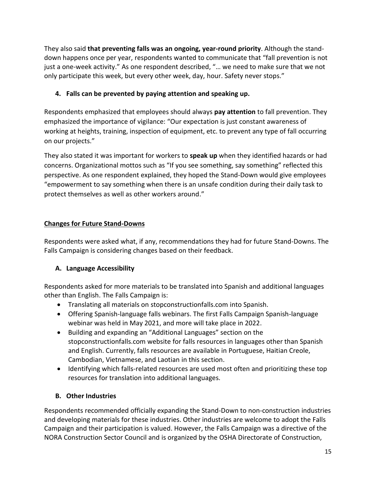They also said **that preventing falls was an ongoing, year-round priority**. Although the standdown happens once per year, respondents wanted to communicate that "fall prevention is not just a one-week activity." As one respondent described, "… we need to make sure that we not only participate this week, but every other week, day, hour. Safety never stops."

## **4. Falls can be prevented by paying attention and speaking up.**

Respondents emphasized that employees should always **pay attention** to fall prevention. They emphasized the importance of vigilance: "Our expectation is just constant awareness of working at heights, training, inspection of equipment, etc. to prevent any type of fall occurring on our projects."

They also stated it was important for workers to **speak up** when they identified hazards or had concerns. Organizational mottos such as "If you see something, say something" reflected this perspective. As one respondent explained, they hoped the Stand-Down would give employees "empowerment to say something when there is an unsafe condition during their daily task to protect themselves as well as other workers around."

## **Changes for Future Stand-Downs**

Respondents were asked what, if any, recommendations they had for future Stand-Downs. The Falls Campaign is considering changes based on their feedback.

# **A. Language Accessibility**

Respondents asked for more materials to be translated into Spanish and additional languages other than English. The Falls Campaign is:

- Translating all materials on stopconstructionfalls.com into Spanish.
- Offering Spanish-language falls webinars. The first Falls Campaign Spanish-language webinar was held in May 2021, and more will take place in 2022.
- Building and expanding an "Additional Languages" section on the stopconstructionfalls.com website for falls resources in languages other than Spanish and English. Currently, falls resources are available in Portuguese, Haitian Creole, Cambodian, Vietnamese, and Laotian in this section.
- Identifying which falls-related resources are used most often and prioritizing these top resources for translation into additional languages.

# **B. Other Industries**

Respondents recommended officially expanding the Stand-Down to non-construction industries and developing materials for these industries. Other industries are welcome to adopt the Falls Campaign and their participation is valued. However, the Falls Campaign was a directive of the NORA Construction Sector Council and is organized by the OSHA Directorate of Construction,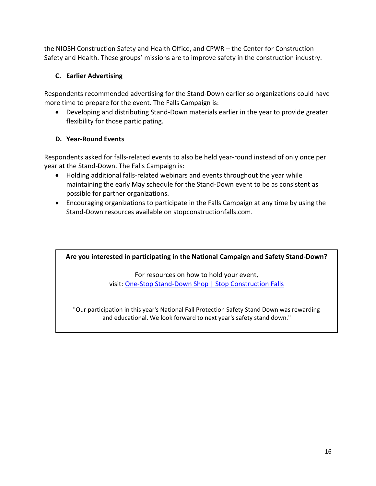the NIOSH Construction Safety and Health Office, and CPWR – the Center for Construction Safety and Health. These groups' missions are to improve safety in the construction industry.

## **C. Earlier Advertising**

Respondents recommended advertising for the Stand-Down earlier so organizations could have more time to prepare for the event. The Falls Campaign is:

• Developing and distributing Stand-Down materials earlier in the year to provide greater flexibility for those participating.

## **D. Year-Round Events**

Respondents asked for falls-related events to also be held year-round instead of only once per year at the Stand-Down. The Falls Campaign is:

- Holding additional falls-related webinars and events throughout the year while maintaining the early May schedule for the Stand-Down event to be as consistent as possible for partner organizations.
- Encouraging organizations to participate in the Falls Campaign at any time by using the Stand-Down resources available on stopconstructionfalls.com.

**Are you interested in participating in the National Campaign and Safety Stand-Down?**

For resources on how to hold your event, visit: [One-Stop Stand-Down Shop | Stop Construction Falls](https://stopconstructionfalls.com/one-stop-stand-down-shop/)

"Our participation in this year's National Fall Protection Safety Stand Down was rewarding and educational. We look forward to next year's safety stand down."